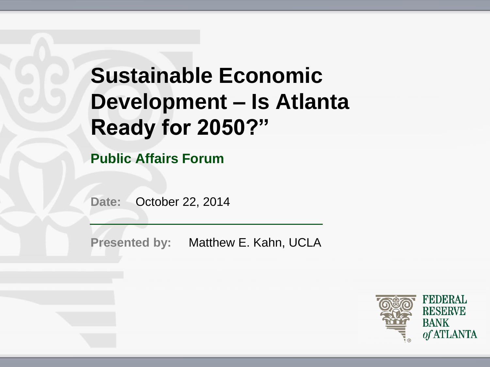# **Sustainable Economic Development – Is Atlanta Ready for 2050?"**

**Public Affairs Forum**

**Date:** October 22, 2014

**Presented by:** Matthew E. Kahn, UCLA

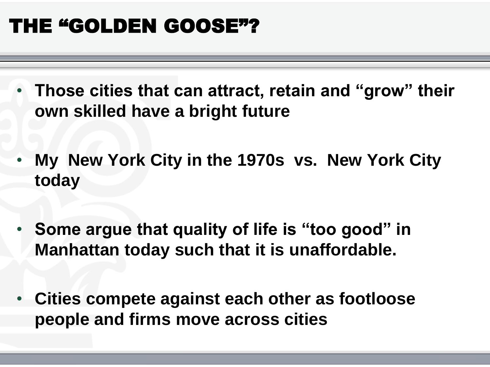#### THE "GOLDEN GOOSE"?

- **Those cities that can attract, retain and "grow" their own skilled have a bright future**
- **My New York City in the 1970s vs. New York City today**
- **Some argue that quality of life is "too good" in Manhattan today such that it is unaffordable.**
- **Cities compete against each other as footloose people and firms move across cities**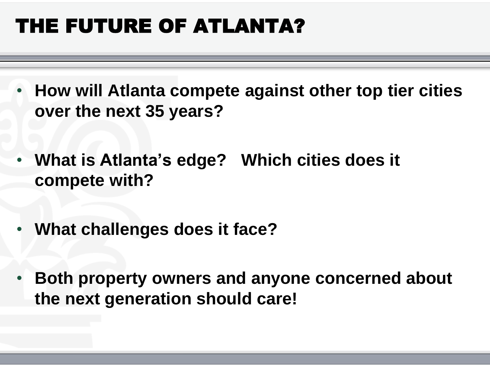# THE FUTURE OF ATLANTA?

- **How will Atlanta compete against other top tier cities over the next 35 years?**
- **What is Atlanta's edge? Which cities does it compete with?**
- **What challenges does it face?**
- **Both property owners and anyone concerned about the next generation should care!**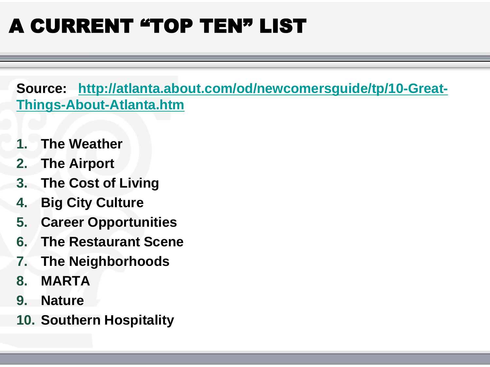# A CURRENT "TOP TEN" LIST

**Source: [http://atlanta.about.com/od/newcomersguide/tp/10-Great-](http://atlanta.about.com/od/newcomersguide/tp/10-Great-Things-About-Atlanta.htm)[Things-About-Atlanta.htm](http://atlanta.about.com/od/newcomersguide/tp/10-Great-Things-About-Atlanta.htm)**

- **1. The Weather**
- **2. The Airport**
- **3. The Cost of Living**
- **4. Big City Culture**
- **5. Career Opportunities**
- **6. The Restaurant Scene**
- **7. The Neighborhoods**
- **8. MARTA**
- **9. Nature**
- **10. Southern Hospitality**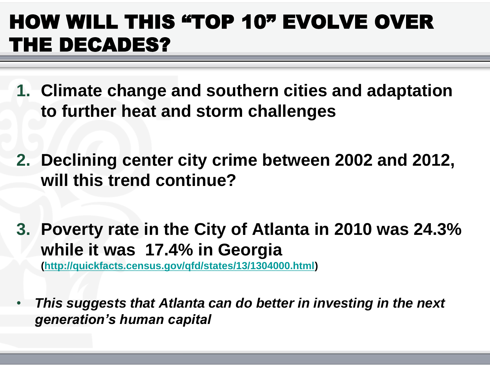### HOW WILL THIS "TOP 10" EVOLVE OVER THE DECADES?

- **1. Climate change and southern cities and adaptation to further heat and storm challenges**
- **2. Declining center city crime between 2002 and 2012, will this trend continue?**
- **3. Poverty rate in the City of Atlanta in 2010 was 24.3% while it was 17.4% in Georgia**

**[\(http://quickfacts.census.gov/qfd/states/13/1304000.html](http://quickfacts.census.gov/qfd/states/13/1304000.html))**

• *This suggests that Atlanta can do better in investing in the next generation's human capital*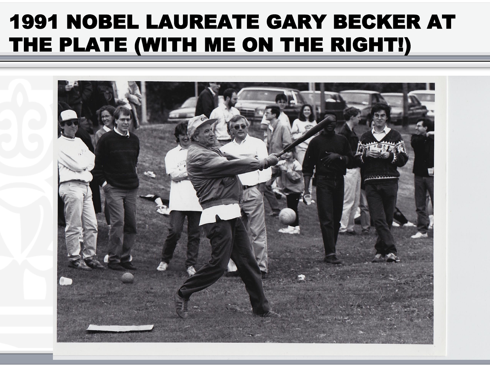#### 1991 NOBEL LAUREATE GARY BECKER AT THE PLATE (WITH ME ON THE RIGHT!)

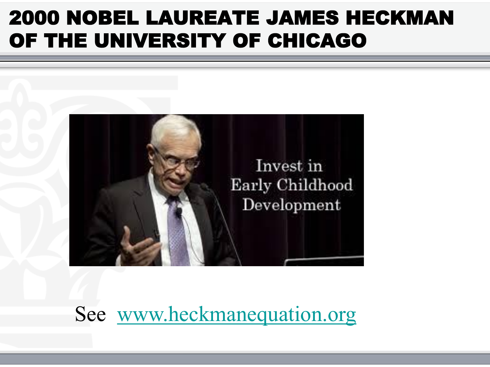#### 2000 NOBEL LAUREATE JAMES HECKMAN OF THE UNIVERSITY OF CHICAGO



Ī

See [www.heckmanequation.org](http://www.heckmanequation.org/)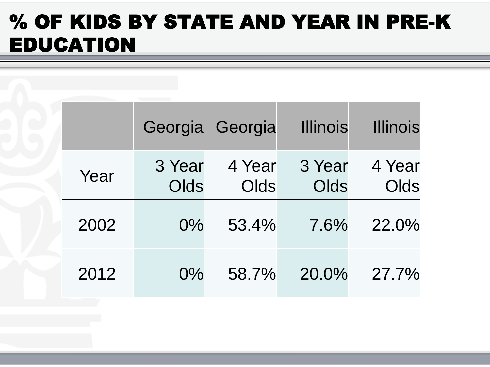#### % OF KIDS BY STATE AND YEAR IN PRE-K EDUCATION

|      |                | Georgia Georgia | <b>Illinois</b> | <b>Illinois</b> |
|------|----------------|-----------------|-----------------|-----------------|
| Year | 3 Year<br>Olds | 4 Year<br>Olds  | 3 Year<br>Olds  | 4 Year<br>Olds  |
| 2002 | $0\%$          | 53.4%           | 7.6%            | 22.0%           |
| 2012 | $0\%$          | 58.7%           | 20.0%           | $27.7\%$        |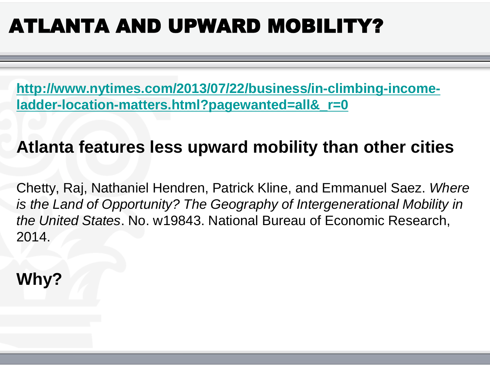# ATLANTA AND UPWARD MOBILITY?

**[http://www.nytimes.com/2013/07/22/business/in-climbing-income](http://www.nytimes.com/2013/07/22/business/in-climbing-income-ladder-location-matters.html?pagewanted=all&_r=0)[ladder-location-matters.html?pagewanted=all&\\_r=0](http://www.nytimes.com/2013/07/22/business/in-climbing-income-ladder-location-matters.html?pagewanted=all&_r=0)**

#### **Atlanta features less upward mobility than other cities**

Chetty, Raj, Nathaniel Hendren, Patrick Kline, and Emmanuel Saez. *Where is the Land of Opportunity? The Geography of Intergenerational Mobility in the United States*. No. w19843. National Bureau of Economic Research, 2014.

**Why?**